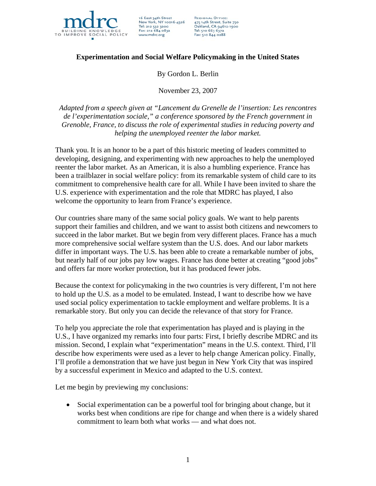

16 East 34th Street New York, NY 10016-4326<br>Tel: 212 532 3200 Fax: 212 684 0832 www.mdrc.org

**REGIONAL OFFICE:** 475 14th Street, Suite 750<br>Oakland, CA 94612-1900 Tel: 510 663 6372 Fax: 510 844 0288

# **Experimentation and Social Welfare Policymaking in the United States**

#### By Gordon L. Berlin

November 23, 2007

*Adapted from a speech given at "Lancement du Grenelle de l'insertion: Les rencontres de l'experimentation sociale," a conference sponsored by the French government in Grenoble, France, to discuss the role of experimental studies in reducing poverty and helping the unemployed reenter the labor market.* 

Thank you. It is an honor to be a part of this historic meeting of leaders committed to developing, designing, and experimenting with new approaches to help the unemployed reenter the labor market. As an American, it is also a humbling experience. France has been a trailblazer in social welfare policy: from its remarkable system of child care to its commitment to comprehensive health care for all. While I have been invited to share the U.S. experience with experimentation and the role that MDRC has played, I also welcome the opportunity to learn from France's experience.

Our countries share many of the same social policy goals. We want to help parents support their families and children, and we want to assist both citizens and newcomers to succeed in the labor market. But we begin from very different places. France has a much more comprehensive social welfare system than the U.S. does. And our labor markets differ in important ways. The U.S. has been able to create a remarkable number of jobs, but nearly half of our jobs pay low wages. France has done better at creating "good jobs" and offers far more worker protection, but it has produced fewer jobs.

Because the context for policymaking in the two countries is very different, I'm not here to hold up the U.S. as a model to be emulated. Instead, I want to describe how we have used social policy experimentation to tackle employment and welfare problems. It is a remarkable story. But only you can decide the relevance of that story for France.

To help you appreciate the role that experimentation has played and is playing in the U.S., I have organized my remarks into four parts: First, I briefly describe MDRC and its mission. Second, I explain what "experimentation" means in the U.S. context. Third, I'll describe how experiments were used as a lever to help change American policy. Finally, I'll profile a demonstration that we have just begun in New York City that was inspired by a successful experiment in Mexico and adapted to the U.S. context.

Let me begin by previewing my conclusions:

• Social experimentation can be a powerful tool for bringing about change, but it works best when conditions are ripe for change and when there is a widely shared commitment to learn both what works — and what does not.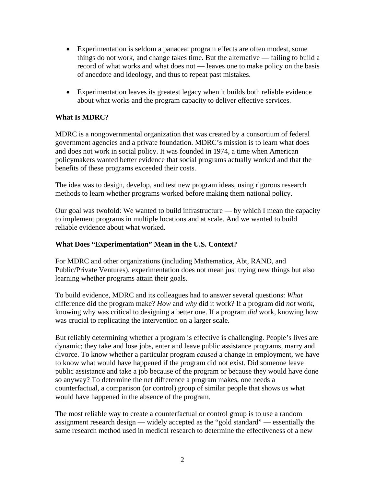- Experimentation is seldom a panacea: program effects are often modest, some things do not work, and change takes time. But the alternative — failing to build a record of what works and what does not — leaves one to make policy on the basis of anecdote and ideology, and thus to repeat past mistakes.
- Experimentation leaves its greatest legacy when it builds both reliable evidence about what works and the program capacity to deliver effective services.

## **What Is MDRC?**

MDRC is a nongovernmental organization that was created by a consortium of federal government agencies and a private foundation. MDRC's mission is to learn what does and does not work in social policy. It was founded in 1974, a time when American policymakers wanted better evidence that social programs actually worked and that the benefits of these programs exceeded their costs.

The idea was to design, develop, and test new program ideas, using rigorous research methods to learn whether programs worked before making them national policy.

Our goal was twofold: We wanted to build infrastructure — by which I mean the capacity to implement programs in multiple locations and at scale. And we wanted to build reliable evidence about what worked.

### **What Does "Experimentation" Mean in the U.S. Context?**

For MDRC and other organizations (including Mathematica, Abt, RAND, and Public/Private Ventures), experimentation does not mean just trying new things but also learning whether programs attain their goals.

To build evidence, MDRC and its colleagues had to answer several questions: *What* difference did the program make? *How* and *why* did it work? If a program did *not* work, knowing why was critical to designing a better one. If a program *did* work, knowing how was crucial to replicating the intervention on a larger scale.

But reliably determining whether a program is effective is challenging. People's lives are dynamic; they take and lose jobs, enter and leave public assistance programs, marry and divorce. To know whether a particular program *caused* a change in employment, we have to know what would have happened if the program did not exist. Did someone leave public assistance and take a job because of the program or because they would have done so anyway? To determine the net difference a program makes, one needs a counterfactual, a comparison (or control) group of similar people that shows us what would have happened in the absence of the program.

The most reliable way to create a counterfactual or control group is to use a random assignment research design — widely accepted as the "gold standard" — essentially the same research method used in medical research to determine the effectiveness of a new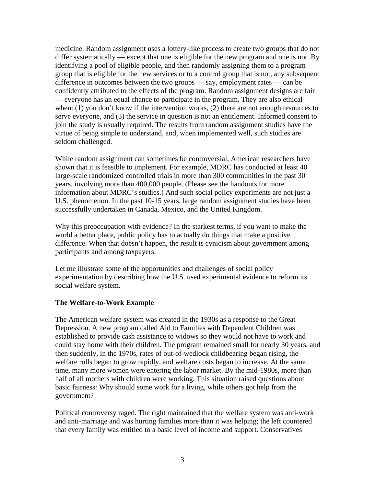medicine. Random assignment uses a lottery-like process to create two groups that do not differ systematically — except that one is eligible for the new program and one is not. By identifying a pool of eligible people, and then randomly assigning them to a program group that is eligible for the new services or to a control group that is not, any subsequent difference in outcomes between the two groups — say, employment rates — can be confidently attributed to the effects of the program. Random assignment designs are fair — everyone has an equal chance to participate in the program. They are also ethical when: (1) you don't know if the intervention works, (2) there are not enough resources to serve everyone, and (3) the service in question is not an entitlement. Informed consent to join the study is usually required. The results from random assignment studies have the virtue of being simple to understand, and, when implemented well, such studies are seldom challenged.

While random assignment can sometimes be controversial, American researchers have shown that it is feasible to implement. For example, MDRC has conducted at least 40 large-scale randomized controlled trials in more than 300 communities in the past 30 years, involving more than 400,000 people. (Please see the handouts for more information about MDRC's studies.) And such social policy experiments are not just a U.S. phenomenon. In the past 10-15 years, large random assignment studies have been successfully undertaken in Canada, Mexico, and the United Kingdom.

Why this preoccupation with evidence? In the starkest terms, if you want to make the world a better place, public policy has to actually do things that make a positive difference. When that doesn't happen, the result is cynicism about government among participants and among taxpayers.

Let me illustrate some of the opportunities and challenges of social policy experimentation by describing how the U.S. used experimental evidence to reform its social welfare system.

## **The Welfare-to-Work Example**

The American welfare system was created in the 1930s as a response to the Great Depression. A new program called Aid to Families with Dependent Children was established to provide cash assistance to widows so they would not have to work and could stay home with their children. The program remained small for nearly 30 years, and then suddenly, in the 1970s, rates of out-of-wedlock childbearing began rising, the welfare rolls began to grow rapidly, and welfare costs began to increase. At the same time, many more women were entering the labor market. By the mid-1980s, more than half of all mothers with children were working. This situation raised questions about basic fairness: Why should some work for a living, while others got help from the government?

Political controversy raged. The right maintained that the welfare system was anti-work and anti-marriage and was hurting families more than it was helping; the left countered that every family was entitled to a basic level of income and support. Conservatives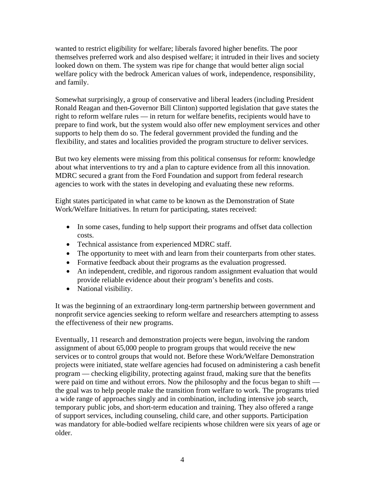wanted to restrict eligibility for welfare; liberals favored higher benefits. The poor themselves preferred work and also despised welfare; it intruded in their lives and society looked down on them. The system was ripe for change that would better align social welfare policy with the bedrock American values of work, independence, responsibility, and family.

Somewhat surprisingly, a group of conservative and liberal leaders (including President Ronald Reagan and then-Governor Bill Clinton) supported legislation that gave states the right to reform welfare rules — in return for welfare benefits, recipients would have to prepare to find work, but the system would also offer new employment services and other supports to help them do so. The federal government provided the funding and the flexibility, and states and localities provided the program structure to deliver services.

But two key elements were missing from this political consensus for reform: knowledge about what interventions to try and a plan to capture evidence from all this innovation. MDRC secured a grant from the Ford Foundation and support from federal research agencies to work with the states in developing and evaluating these new reforms.

Eight states participated in what came to be known as the Demonstration of State Work/Welfare Initiatives. In return for participating, states received:

- In some cases, funding to help support their programs and offset data collection costs.
- Technical assistance from experienced MDRC staff.
- The opportunity to meet with and learn from their counterparts from other states.
- Formative feedback about their programs as the evaluation progressed.
- An independent, credible, and rigorous random assignment evaluation that would provide reliable evidence about their program's benefits and costs.
- National visibility.

It was the beginning of an extraordinary long-term partnership between government and nonprofit service agencies seeking to reform welfare and researchers attempting to assess the effectiveness of their new programs.

Eventually, 11 research and demonstration projects were begun, involving the random assignment of about 65,000 people to program groups that would receive the new services or to control groups that would not. Before these Work/Welfare Demonstration projects were initiated, state welfare agencies had focused on administering a cash benefit program — checking eligibility, protecting against fraud, making sure that the benefits were paid on time and without errors. Now the philosophy and the focus began to shift the goal was to help people make the transition from welfare to work. The programs tried a wide range of approaches singly and in combination, including intensive job search, temporary public jobs, and short-term education and training. They also offered a range of support services, including counseling, child care, and other supports. Participation was mandatory for able-bodied welfare recipients whose children were six years of age or older.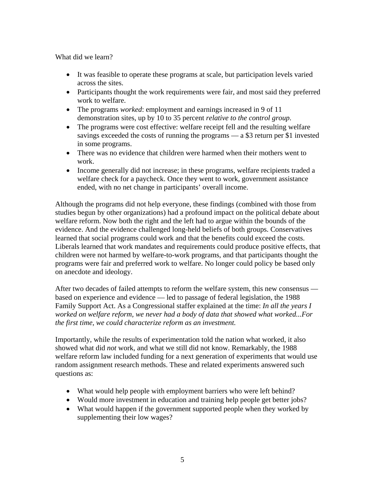What did we learn?

- It was feasible to operate these programs at scale, but participation levels varied across the sites.
- Participants thought the work requirements were fair, and most said they preferred work to welfare.
- The programs *worked*: employment and earnings increased in 9 of 11 demonstration sites, up by 10 to 35 percent *relative to the control group*.
- The programs were cost effective: welfare receipt fell and the resulting welfare savings exceeded the costs of running the programs — a \$3 return per \$1 invested in some programs.
- There was no evidence that children were harmed when their mothers went to work.
- Income generally did not increase; in these programs, welfare recipients traded a welfare check for a paycheck. Once they went to work, government assistance ended, with no net change in participants' overall income.

Although the programs did not help everyone, these findings (combined with those from studies begun by other organizations) had a profound impact on the political debate about welfare reform. Now both the right and the left had to argue within the bounds of the evidence. And the evidence challenged long-held beliefs of both groups. Conservatives learned that social programs could work and that the benefits could exceed the costs. Liberals learned that work mandates and requirements could produce positive effects, that children were not harmed by welfare-to-work programs, and that participants thought the programs were fair and preferred work to welfare. No longer could policy be based only on anecdote and ideology.

After two decades of failed attempts to reform the welfare system, this new consensus based on experience and evidence — led to passage of federal legislation, the 1988 Family Support Act. As a Congressional staffer explained at the time: *In all the years I worked on welfare reform, we never had a body of data that showed what worked...For the first time, we could characterize reform as an investment.* 

Importantly, while the results of experimentation told the nation what worked, it also showed what did *not* work, and what we still did not know. Remarkably, the 1988 welfare reform law included funding for a next generation of experiments that would use random assignment research methods. These and related experiments answered such questions as:

- What would help people with employment barriers who were left behind?
- Would more investment in education and training help people get better jobs?
- What would happen if the government supported people when they worked by supplementing their low wages?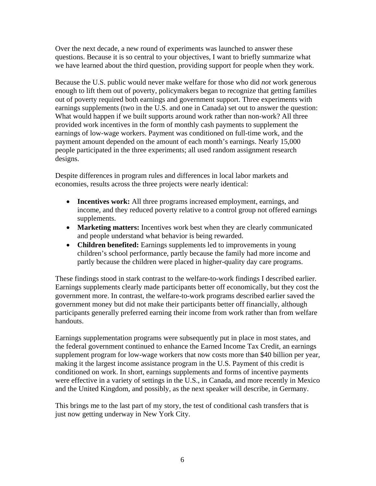Over the next decade, a new round of experiments was launched to answer these questions. Because it is so central to your objectives, I want to briefly summarize what we have learned about the third question, providing support for people when they work.

Because the U.S. public would never make welfare for those who did *not* work generous enough to lift them out of poverty, policymakers began to recognize that getting families out of poverty required both earnings and government support. Three experiments with earnings supplements (two in the U.S. and one in Canada) set out to answer the question: What would happen if we built supports around work rather than non-work? All three provided work incentives in the form of monthly cash payments to supplement the earnings of low-wage workers. Payment was conditioned on full-time work, and the payment amount depended on the amount of each month's earnings. Nearly 15,000 people participated in the three experiments; all used random assignment research designs.

Despite differences in program rules and differences in local labor markets and economies, results across the three projects were nearly identical:

- **Incentives work:** All three programs increased employment, earnings, and income, and they reduced poverty relative to a control group not offered earnings supplements.
- **Marketing matters:** Incentives work best when they are clearly communicated and people understand what behavior is being rewarded.
- **Children benefited:** Earnings supplements led to improvements in young children's school performance, partly because the family had more income and partly because the children were placed in higher-quality day care programs.

These findings stood in stark contrast to the welfare-to-work findings I described earlier. Earnings supplements clearly made participants better off economically, but they cost the government more. In contrast, the welfare-to-work programs described earlier saved the government money but did not make their participants better off financially, although participants generally preferred earning their income from work rather than from welfare handouts.

Earnings supplementation programs were subsequently put in place in most states, and the federal government continued to enhance the Earned Income Tax Credit, an earnings supplement program for low-wage workers that now costs more than \$40 billion per year, making it the largest income assistance program in the U.S. Payment of this credit is conditioned on work. In short, earnings supplements and forms of incentive payments were effective in a variety of settings in the U.S., in Canada, and more recently in Mexico and the United Kingdom, and possibly, as the next speaker will describe, in Germany.

This brings me to the last part of my story, the test of conditional cash transfers that is just now getting underway in New York City.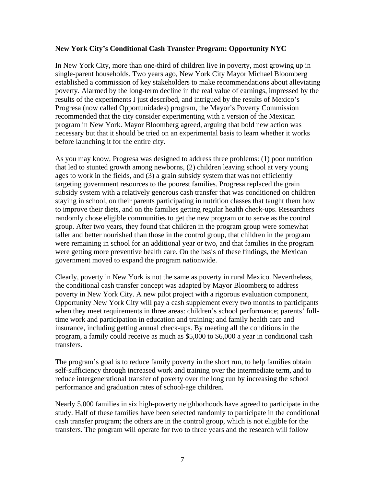#### **New York City's Conditional Cash Transfer Program: Opportunity NYC**

In New York City, more than one-third of children live in poverty, most growing up in single-parent households. Two years ago, New York City Mayor Michael Bloomberg established a commission of key stakeholders to make recommendations about alleviating poverty. Alarmed by the long-term decline in the real value of earnings, impressed by the results of the experiments I just described, and intrigued by the results of Mexico's Progresa (now called Opportunidades) program, the Mayor's Poverty Commission recommended that the city consider experimenting with a version of the Mexican program in New York. Mayor Bloomberg agreed, arguing that bold new action was necessary but that it should be tried on an experimental basis to learn whether it works before launching it for the entire city.

As you may know, Progresa was designed to address three problems: (1) poor nutrition that led to stunted growth among newborns, (2) children leaving school at very young ages to work in the fields, and (3) a grain subsidy system that was not efficiently targeting government resources to the poorest families. Progresa replaced the grain subsidy system with a relatively generous cash transfer that was conditioned on children staying in school, on their parents participating in nutrition classes that taught them how to improve their diets, and on the families getting regular health check-ups. Researchers randomly chose eligible communities to get the new program or to serve as the control group. After two years, they found that children in the program group were somewhat taller and better nourished than those in the control group, that children in the program were remaining in school for an additional year or two, and that families in the program were getting more preventive health care. On the basis of these findings, the Mexican government moved to expand the program nationwide.

Clearly, poverty in New York is not the same as poverty in rural Mexico. Nevertheless, the conditional cash transfer concept was adapted by Mayor Bloomberg to address poverty in New York City. A new pilot project with a rigorous evaluation component, Opportunity New York City will pay a cash supplement every two months to participants when they meet requirements in three areas: children's school performance; parents' fulltime work and participation in education and training; and family health care and insurance, including getting annual check-ups. By meeting all the conditions in the program, a family could receive as much as \$5,000 to \$6,000 a year in conditional cash transfers.

The program's goal is to reduce family poverty in the short run, to help families obtain self-sufficiency through increased work and training over the intermediate term, and to reduce intergenerational transfer of poverty over the long run by increasing the school performance and graduation rates of school-age children.

Nearly 5,000 families in six high-poverty neighborhoods have agreed to participate in the study. Half of these families have been selected randomly to participate in the conditional cash transfer program; the others are in the control group, which is not eligible for the transfers. The program will operate for two to three years and the research will follow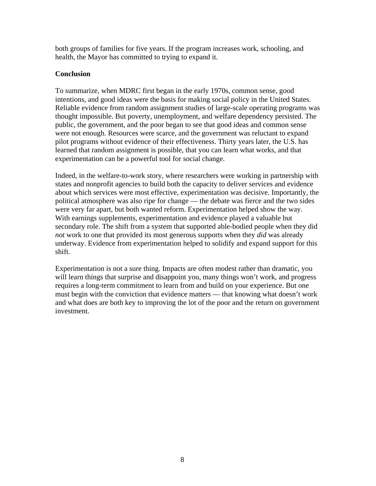both groups of families for five years. If the program increases work, schooling, and health, the Mayor has committed to trying to expand it.

### **Conclusion**

To summarize, when MDRC first began in the early 1970s, common sense, good intentions, and good ideas were the basis for making social policy in the United States. Reliable evidence from random assignment studies of large-scale operating programs was thought impossible. But poverty, unemployment, and welfare dependency persisted. The public, the government, and the poor began to see that good ideas and common sense were not enough. Resources were scarce, and the government was reluctant to expand pilot programs without evidence of their effectiveness. Thirty years later, the U.S. has learned that random assignment is possible, that you can learn what works, and that experimentation can be a powerful tool for social change.

Indeed, in the welfare-to-work story, where researchers were working in partnership with states and nonprofit agencies to build both the capacity to deliver services and evidence about which services were most effective, experimentation was decisive. Importantly, the political atmosphere was also ripe for change — the debate was fierce and the two sides were very far apart, but both wanted reform. Experimentation helped show the way. With earnings supplements, experimentation and evidence played a valuable but secondary role. The shift from a system that supported able-bodied people when they did *not* work to one that provided its most generous supports when they *did* was already underway. Evidence from experimentation helped to solidify and expand support for this shift.

Experimentation is not a sure thing. Impacts are often modest rather than dramatic, you will learn things that surprise and disappoint you, many things won't work, and progress requires a long-term commitment to learn from and build on your experience. But one must begin with the conviction that evidence matters — that knowing what doesn't work and what does are both key to improving the lot of the poor and the return on government investment.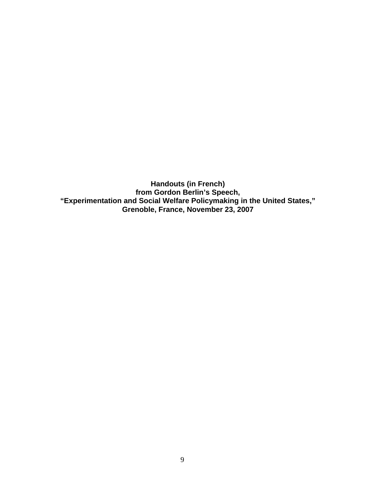**Handouts (in French) from Gordon Berlin's Speech, "Experimentation and Social Welfare Policymaking in the United States," Grenoble, France, November 23, 2007**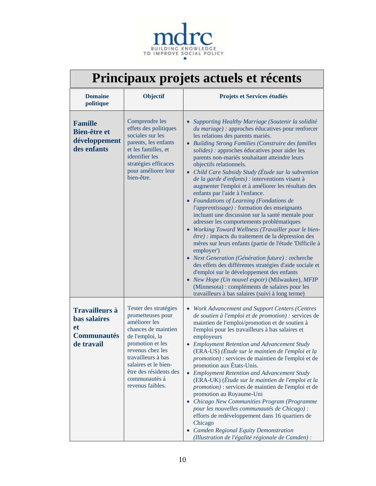

| Principaux projets actuels et récents |  |  |  |
|---------------------------------------|--|--|--|
|---------------------------------------|--|--|--|

| <b>Domaine</b><br>politique                                                                   | Objectif                                                                                                                                                                                                                                                   | Projets et Services étudiés                                                                                                                                                                                                                                                                                                                                                                                                                                                                                                                                                                                                                                                                                                                                                                                                                                                                                                                                                                                                                                                                                                                                                                                                                    |
|-----------------------------------------------------------------------------------------------|------------------------------------------------------------------------------------------------------------------------------------------------------------------------------------------------------------------------------------------------------------|------------------------------------------------------------------------------------------------------------------------------------------------------------------------------------------------------------------------------------------------------------------------------------------------------------------------------------------------------------------------------------------------------------------------------------------------------------------------------------------------------------------------------------------------------------------------------------------------------------------------------------------------------------------------------------------------------------------------------------------------------------------------------------------------------------------------------------------------------------------------------------------------------------------------------------------------------------------------------------------------------------------------------------------------------------------------------------------------------------------------------------------------------------------------------------------------------------------------------------------------|
| <b>Famille</b><br><b>Bien-être et</b><br>développement<br>des enfants                         | Comprendre les<br>effets des politiques<br>sociales sur les<br>parents, les enfants<br>et les familles, et<br>identifier les<br>stratégies efficaces<br>pour améliorer leur<br>bien-être.                                                                  | Supporting Healthy Marriage (Soutenir la solidité<br>du mariage) : approches éducatives pour renforcer<br>les relations des parents mariés.<br>• Building Strong Families (Construire des familles<br>solides) : approches éducatives pour aider les<br>parents non-mariés souhaitant atteindre leurs<br>objectifs relationnels.<br>• Child Care Subsidy Study (Étude sur la subvention<br>de la garde d'enfants) : interventions visant à<br>augmenter l'emploi et à améliorer les résultats des<br>enfants par l'aide à l'enfance.<br>• Foundations of Learning (Fondations de<br>l'apprentissage) : formation des enseignants<br>incluant une discussion sur la santé mentale pour<br>adresser les comportements problématiques<br>• Working Toward Wellness (Travailler pour le bien-<br>être) : impacts du traitement de la dépression des<br>mères sur leurs enfants (partie de l'étude 'Difficile à<br>employer')<br>• Next Generation (Génération future) : recherche<br>des effets des différentes stratégies d'aide sociale et<br>d'emploi sur le développement des enfants<br>• New Hope (Un nouvel espoir) (Milwaukee), MFIP<br>(Minnesota) : compléments de salaires pour les<br>travailleurs à bas salaires (suivi à long terme) |
| <b>Travailleurs à</b><br><b>bas salaires</b><br><b>et</b><br><b>Communautés</b><br>de travail | Tester des stratégies<br>prometteuses pour<br>améliorer les<br>chances de maintien<br>de l'emploi, la<br>promotion et les<br>revenus chez les<br>travailleurs à bas<br>salaires et le bien-<br>être des résidents des<br>communautés à<br>revenus faibles. | • Work Advancement and Support Centers (Centres<br>de soutien à l'emploi et de promotion) : services de<br>maintien de l'emploi/promotion et de soutien à<br>l'emploi pour les travailleurs à bas salaires et<br>employeurs<br>• Employment Retention and Advancement Study<br>(ERA-US) (Étude sur le maintien de l'emploi et la<br>promotion) : services de maintien de l'emploi et de<br>promotion aux États-Unis.<br>• Employment Retention and Advancement Study<br>(ERA-UK) (Étude sur le maintien de l'emploi et la<br>promotion) : services de maintien de l'emploi et de<br>promotion au Royaume-Uni<br>• Chicago New Communities Program (Programme<br>pour les nouvelles communautés de Chicago) :<br>efforts de redéveloppement dans 16 quartiers de<br>Chicago<br>• Camden Regional Equity Demonstration<br>(Illustration de l'égalité régionale de Camden) :                                                                                                                                                                                                                                                                                                                                                                      |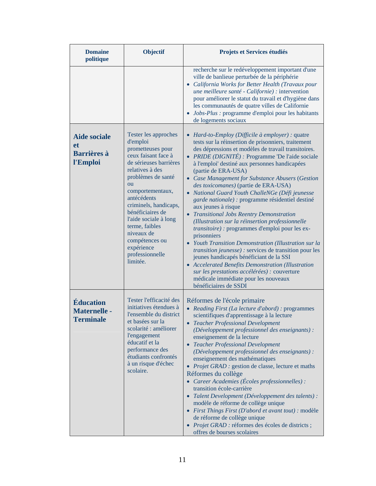| <b>Domaine</b><br>politique                                        | Objectif                                                                                                                                                                                                                                                                                                                                                      | Projets et Services étudiés                                                                                                                                                                                                                                                                                                                                                                                                                                                                                                                                                                                                                                                                                                                                                                                                                                                                                                                                                                                                                     |
|--------------------------------------------------------------------|---------------------------------------------------------------------------------------------------------------------------------------------------------------------------------------------------------------------------------------------------------------------------------------------------------------------------------------------------------------|-------------------------------------------------------------------------------------------------------------------------------------------------------------------------------------------------------------------------------------------------------------------------------------------------------------------------------------------------------------------------------------------------------------------------------------------------------------------------------------------------------------------------------------------------------------------------------------------------------------------------------------------------------------------------------------------------------------------------------------------------------------------------------------------------------------------------------------------------------------------------------------------------------------------------------------------------------------------------------------------------------------------------------------------------|
|                                                                    |                                                                                                                                                                                                                                                                                                                                                               | recherche sur le redéveloppement important d'une<br>ville de banlieue perturbée de la périphérie<br>• California Works for Better Health (Travaux pour<br>une meilleure santé - Californie) : intervention<br>pour améliorer le statut du travail et d'hygiène dans<br>les communautés de quatre villes de Californie<br>Jobs-Plus : programme d'emploi pour les habitants<br>de logements sociaux                                                                                                                                                                                                                                                                                                                                                                                                                                                                                                                                                                                                                                              |
| <b>Aide sociale</b><br><b>et</b><br><b>Barrières à</b><br>l'Emploi | Tester les approches<br>d'emploi<br>prometteuses pour<br>ceux faisant face à<br>de sérieuses barrières<br>relatives à des<br>problèmes de santé<br>ou<br>comportementaux,<br>antécédents<br>criminels, handicaps,<br>bénéficiaires de<br>l'aide sociale à long<br>terme, faibles<br>niveaux de<br>compétences ou<br>expérience<br>professionnelle<br>limitée. | • Hard-to-Employ (Difficile à employer) : quatre<br>tests sur la réinsertion de prisonniers, traitement<br>des dépressions et modèles de travail transitoires.<br>• PRIDE (DIGNITÉ) : Programme 'De l'aide sociale<br>à l'emploi' destiné aux personnes handicapées<br>(partie de ERA-USA)<br>• Case Management for Substance Abusers (Gestion<br>des toxicomanes) (partie de ERA-USA)<br>• National Guard Youth ChalleNGe (Défi jeunesse<br>garde nationale) : programme résidentiel destiné<br>aux jeunes à risque<br><b>Transitional Jobs Reentry Demonstration</b><br>(Illustration sur la réinsertion professionnelle<br><i>transitoire</i> ) : programmes d'emploi pour les ex-<br>prisonniers<br>Youth Transition Demonstration (Illustration sur la<br><i>transition jeunesse</i> ) : services de transition pour les<br>jeunes handicapés bénéficiant de la SSI<br>• Accelerated Benefits Demonstration (Illustration<br>sur les prestations accélérées) : couverture<br>médicale immédiate pour les nouveaux<br>bénéficiaires de SSDI |
| <b>Éducation</b><br><b>Maternelle -</b><br><b>Terminale</b>        | Tester l'efficacité des<br>initiatives étendues à<br>l'ensemble du district<br>et basées sur la<br>scolarité : améliorer<br>l'engagement<br>éducatif et la<br>performance des<br>étudiants confrontés<br>à un risque d'échec<br>scolaire.                                                                                                                     | Réformes de l'école primaire<br>• Reading First (La lecture d'abord) : programmes<br>scientifiques d'apprentissage à la lecture<br><b>Teacher Professional Development</b><br>(Développement professionnel des enseignants) :<br>enseignement de la lecture<br><b>Teacher Professional Development</b><br>(Développement professionnel des enseignants) :<br>enseignement des mathématiques<br>• Projet GRAD : gestion de classe, lecture et maths<br>Réformes du collège<br>• Career Academies (Écoles professionnelles) :<br>transition école-carrière<br>• Talent Development (Développement des talents) :<br>modèle de réforme de collège unique<br>• First Things First (D'abord et avant tout) : modèle<br>de réforme de collège unique<br>· Projet GRAD : réformes des écoles de districts ;<br>offres de bourses scolaires                                                                                                                                                                                                             |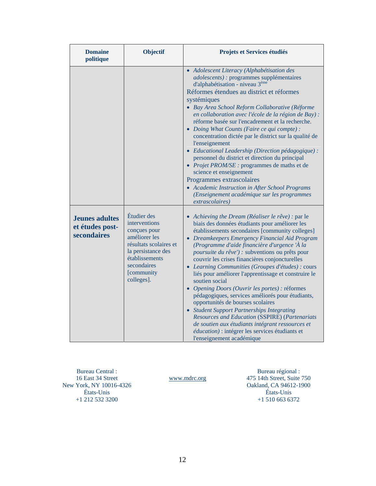| <b>Domaine</b><br>politique                             | Objectif                                                                                                                                                                   | Projets et Services étudiés                                                                                                                                                                                                                                                                                                                                                                                                                                                                                                                                                                                                                                                                                                                                                                                                                                                        |
|---------------------------------------------------------|----------------------------------------------------------------------------------------------------------------------------------------------------------------------------|------------------------------------------------------------------------------------------------------------------------------------------------------------------------------------------------------------------------------------------------------------------------------------------------------------------------------------------------------------------------------------------------------------------------------------------------------------------------------------------------------------------------------------------------------------------------------------------------------------------------------------------------------------------------------------------------------------------------------------------------------------------------------------------------------------------------------------------------------------------------------------|
|                                                         |                                                                                                                                                                            | • Adolescent Literacy (Alphabétisation des<br>adolescents) : programmes supplémentaires<br>d'alphabétisation - niveau 3 <sup>ème</sup><br>Réformes étendues au district et réformes<br>systémiques<br>· Bay Area School Reform Collaborative (Réforme<br>en collaboration avec l'école de la région de Bay) :<br>réforme basée sur l'encadrement et la recherche.<br>• Doing What Counts (Faire ce qui compte) :<br>concentration dictée par le district sur la qualité de<br>l'enseignement<br>• Educational Leadership (Direction pédagogique) :<br>personnel du district et direction du principal<br>• Projet PROM/SE : programmes de maths et de<br>science et enseignement<br>Programmes extrascolaires<br>• Academic Instruction in After School Programs<br>(Enseignement académique sur les programmes<br>extrascolaires)                                                 |
| <b>Jeunes adultes</b><br>et études post-<br>secondaires | Étudier des<br>interventions<br>conçues pour<br>améliorer les<br>résultats scolaires et<br>la persistance des<br>établissements<br>secondaires<br>[community<br>colleges]. | • Achieving the Dream (Réaliser le rêve) : par le<br>biais des données étudiants pour améliorer les<br>établissements secondaires [community colleges]<br>• Dreamkeepers Emergency Financial Aid Program<br>(Programme d'aide financière d'urgence 'À la<br>poursuite du rêve') : subventions ou prêts pour<br>couvrir les crises financières conjoncturelles<br>• Learning Communities (Groupes d'études) : cours<br>liés pour améliorer l'apprentissage et construire le<br>soutien social<br>• Opening Doors (Ouvrir les portes) : réformes<br>pédagogiques, services améliorés pour étudiants,<br>opportunités de bourses scolaires<br>• Student Support Partnerships Integrating<br><b>Resources and Education (SSPIRE) (Partenariats</b><br>de soutien aux étudiants intégrant ressources et<br>éducation) : intégrer les services étudiants et<br>l'enseignement académique |

New York, NY 10016-4326 +1 212 532 3200 Bureau Central : 16 East 34 Street États-Unis

www.mdrc.org

Oakland, CA 94612-1900 +1 510 663 6372 Bureau régional : 475 14th Street, Suite 750 États-Unis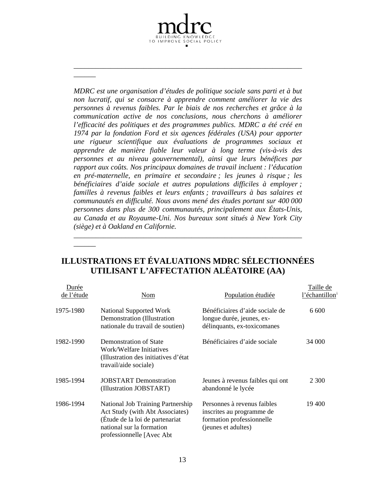*s bureaux sont situés à New York City au Canada et au Royaume-Uni. No MDRC est une organisation d'études de politique sociale sans parti et à but non lucratif, qui se consacre à apprendre comment améliorer la vie des personnes à revenus faibles. Par le biais de nos recherches et grâce à la communication active de nos conclusions, nous cherchons à améliorer l'efficacité des politiques et des programmes publics. MDRC a été créé en 1974 par la fondation Ford et six agences fédérales (USA) pour apporter une rigueur scientifique aux évaluations de programmes sociaux et apprendre de manière fiable leur valeur à long terme (vis-à-vis des personnes et au niveau gouvernemental), ainsi que leurs bénéfices par rapport aux coûts. Nos principaux domaines de travail incluent : l'éducation en pré-maternelle, en primaire et secondaire ; les jeunes à risque ; les bénéficiaires d'aide sociale et autres populations difficiles à employer ; familles à revenus faibles et leurs enfants ; travailleurs à bas salaires et communautés en difficulté. Nous avons mené des études portant sur 400 000 personnes dans plus de 300 communautés, principalement aux États-Unis, (siège) et à Oakland en Californie.* 

*\_\_\_\_\_\_\_\_\_\_\_\_\_\_\_\_\_\_\_\_\_\_\_\_\_\_\_\_\_\_\_\_\_\_\_\_\_\_\_\_\_\_\_\_\_\_\_\_\_\_\_\_\_\_\_*

TO IMPROVE SOCIAL POLICY

*\_\_\_\_\_* 

*\_*

*\_\_\_\_\_\_\_*

*\_\_\_\_\_* 

*\_*

*\_\_\_\_\_\_\_*

# **ILLUSTRATIONS ET ÉVALUATIONS MDRC SÉLECTIONNÉES UTILISANT L'AFFECTATION ALÉATOIRE (AA)**

*\_\_\_\_\_\_\_\_\_\_\_\_\_\_\_\_\_\_\_\_\_\_\_\_\_\_\_\_\_\_\_\_\_\_\_\_\_\_\_\_\_\_\_\_\_\_\_\_\_\_\_\_\_\_\_*

| <u>Durée</u><br>de l'étude | Nom                                                                                                                                                               | Population étudiée                                                                                           | Taille de<br>l'échantillon |
|----------------------------|-------------------------------------------------------------------------------------------------------------------------------------------------------------------|--------------------------------------------------------------------------------------------------------------|----------------------------|
| 1975-1980                  | National Supported Work<br>Demonstration (Illustration)<br>nationale du travail de soutien)                                                                       | Bénéficiaires d'aide sociale de<br>longue durée, jeunes, ex-<br>délinquants, ex-toxicomanes                  | 6 600                      |
| 1982-1990                  | Demonstration of State<br>Work/Welfare Initiatives<br>(Illustration des initiatives d'état)<br>travail/aide sociale)                                              | Bénéficiaires d'aide sociale                                                                                 | 34 000                     |
| 1985-1994                  | <b>JOBSTART</b> Demonstration<br>(Illustration JOBSTART)                                                                                                          | Jeunes à revenus faibles qui ont<br>abandonné le lycée                                                       | 2 3 0 0                    |
| 1986-1994                  | National Job Training Partnership<br>Act Study (with Abt Associates)<br>(Étude de la loi de partenariat<br>national sur la formation<br>professionnelle [Avec Abt | Personnes à revenus faibles<br>inscrites au programme de<br>formation professionnelle<br>(jeunes et adultes) | 19 400                     |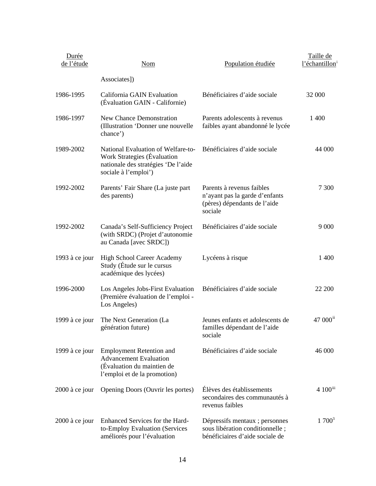| Durée<br>de l'étude | <b>Nom</b>                                                                                                                       | Population étudiée                                                                                     | Taille de<br>l'échantillon |
|---------------------|----------------------------------------------------------------------------------------------------------------------------------|--------------------------------------------------------------------------------------------------------|----------------------------|
|                     | Associates])                                                                                                                     |                                                                                                        |                            |
| 1986-1995           | California GAIN Evaluation<br>(Évaluation GAIN - Californie)                                                                     | Bénéficiaires d'aide sociale                                                                           | 32 000                     |
| 1986-1997           | <b>New Chance Demonstration</b><br>(Illustration 'Donner une nouvelle<br>chance')                                                | Parents adolescents à revenus<br>faibles ayant abandonné le lycée                                      | 1 400                      |
| 1989-2002           | National Evaluation of Welfare-to-<br>Work Strategies (Évaluation<br>nationale des stratégies 'De l'aide<br>sociale à l'emploi') | Bénéficiaires d'aide sociale                                                                           | 44 000                     |
| 1992-2002           | Parents' Fair Share (La juste part<br>des parents)                                                                               | Parents à revenus faibles<br>n'ayant pas la garde d'enfants<br>(pères) dépendants de l'aide<br>sociale | 7 300                      |
| 1992-2002           | Canada's Self-Sufficiency Project<br>(with SRDC) (Projet d'autonomie<br>au Canada [avec SRDC])                                   | Bénéficiaires d'aide sociale                                                                           | 9 0 0 0                    |
| 1993 à ce jour      | <b>High School Career Academy</b><br>Study (Étude sur le cursus<br>académique des lycées)                                        | Lycéens à risque                                                                                       | 1 400                      |
| 1996-2000           | Los Angeles Jobs-First Evaluation<br>(Première évaluation de l'emploi -<br>Los Angeles)                                          | Bénéficiaires d'aide sociale                                                                           | 22 200                     |
| 1999 à ce jour      | The Next Generation (La<br>génération future)                                                                                    | Jeunes enfants et adolescents de<br>familles dépendant de l'aide<br>sociale                            | 47 000 <sup>ii</sup>       |
| 1999 à ce jour      | <b>Employment Retention and</b><br><b>Advancement Evaluation</b><br>(Évaluation du maintien de<br>l'emploi et de la promotion)   | Bénéficiaires d'aide sociale                                                                           | 46 000                     |
| 2000 à ce jour      | Opening Doors (Ouvrir les portes)                                                                                                | Élèves des établissements<br>secondaires des communautés à<br>revenus faibles                          | 4 100iii                   |
| 2000 à ce jour      | Enhanced Services for the Hard-<br>to-Employ Evaluation (Services<br>améliorés pour l'évaluation                                 | Dépressifs mentaux ; personnes<br>sous libération conditionnelle;<br>bénéficiaires d'aide sociale de   | $1700^3$                   |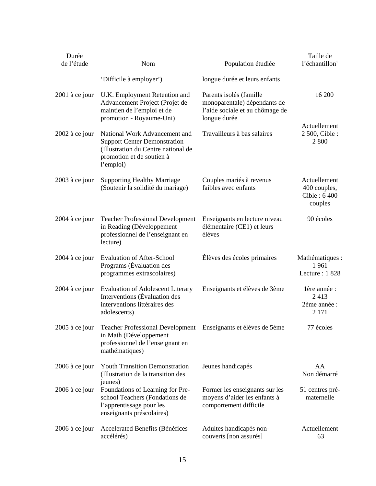| Durée<br>de l'étude | <b>Nom</b>                                                                                                                                            | Population étudiée                                                                                         | Taille de<br>l'échantillon <sup>i</sup>                 |
|---------------------|-------------------------------------------------------------------------------------------------------------------------------------------------------|------------------------------------------------------------------------------------------------------------|---------------------------------------------------------|
|                     | 'Difficile à employer')                                                                                                                               | longue durée et leurs enfants                                                                              |                                                         |
| 2001 à ce jour      | U.K. Employment Retention and<br>Advancement Project (Projet de<br>maintien de l'emploi et de<br>promotion - Royaume-Uni)                             | Parents isolés (famille<br>monoparentale) dépendants de<br>l'aide sociale et au chômage de<br>longue durée | 16 200<br>Actuellement                                  |
| 2002 à ce jour      | National Work Advancement and<br><b>Support Center Demonstration</b><br>(Illustration du Centre national de<br>promotion et de soutien à<br>l'emploi) | Travailleurs à bas salaires                                                                                | 2 500, Cible :<br>2 800                                 |
| 2003 à ce jour      | <b>Supporting Healthy Marriage</b><br>(Soutenir la solidité du mariage)                                                                               | Couples mariés à revenus<br>faibles avec enfants                                                           | Actuellement<br>400 couples,<br>Cible: 6 400<br>couples |
| 2004 à ce jour      | <b>Teacher Professional Development</b><br>in Reading (Développement<br>professionnel de l'enseignant en<br>lecture)                                  | Enseignants en lecture niveau<br>élémentaire (CE1) et leurs<br>élèves                                      | 90 écoles                                               |
| 2004 à ce jour      | <b>Evaluation of After-School</b><br>Programs (Évaluation des<br>programmes extrascolaires)                                                           | Élèves des écoles primaires                                                                                | Mathématiques :<br>1961<br>Lecture: 1828                |
| $2004$ à ce jour    | <b>Evaluation of Adolescent Literary</b><br>Interventions (Évaluation des<br>interventions littéraires des<br>adolescents)                            | Enseignants et élèves de 3ème                                                                              | lère année :<br>2413<br>2ème année :<br>2 1 7 1         |
| $2005$ à ce jour    | Teacher Professional Development Enseignants et élèves de 5ème<br>in Math (Développement<br>professionnel de l'enseignant en<br>mathématiques)        |                                                                                                            | 77 écoles                                               |
| 2006 à ce jour      | <b>Youth Transition Demonstration</b><br>(Illustration de la transition des<br>jeunes)                                                                | Jeunes handicapés                                                                                          | AA<br>Non démarré                                       |
| 2006 à ce jour      | Foundations of Learning for Pre-<br>school Teachers (Fondations de<br>l'apprentissage pour les<br>enseignants préscolaires)                           | Former les enseignants sur les<br>moyens d'aider les enfants à<br>comportement difficile                   | 51 centres pré-<br>maternelle                           |
| 2006 à ce jour      | Accelerated Benefits (Bénéfices<br>accélérés)                                                                                                         | Adultes handicapés non-<br>couverts [non assurés]                                                          | Actuellement<br>63                                      |